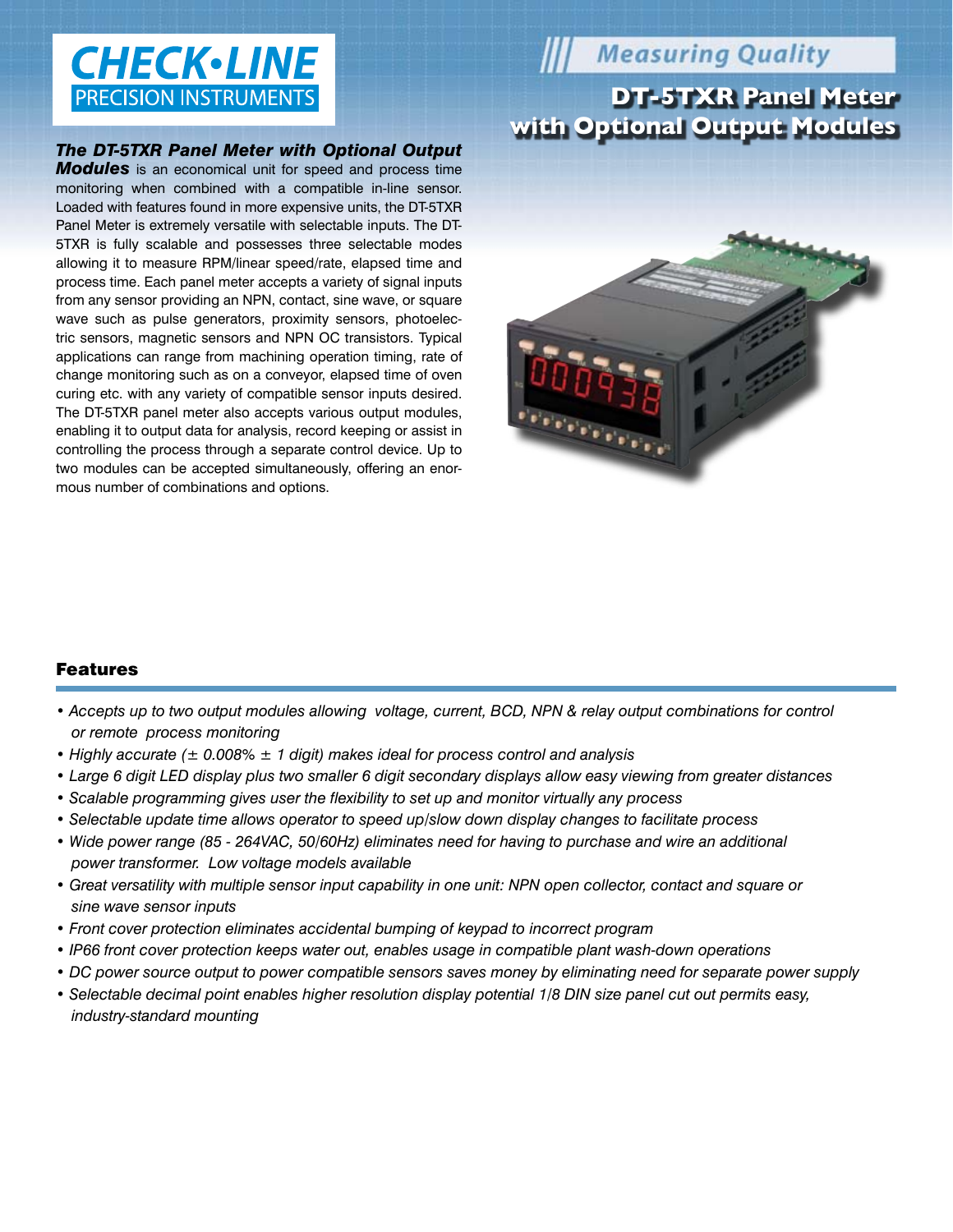# **CHECK**·LINE **PRECISION INSTRUMENTS**

#### *The DT-5TXR Panel Meter with Optional Output*

*Modules* is an economical unit for speed and process time monitoring when combined with a compatible in-line sensor. Loaded with features found in more expensive units, the DT-5TXR Panel Meter is extremely versatile with selectable inputs. The DT-5TXR is fully scalable and possesses three selectable modes allowing it to measure RPM/linear speed/rate, elapsed time and process time. Each panel meter accepts a variety of signal inputs from any sensor providing an NPN, contact, sine wave, or square wave such as pulse generators, proximity sensors, photoelectric sensors, magnetic sensors and NPN OC transistors. Typical applications can range from machining operation timing, rate of change monitoring such as on a conveyor, elapsed time of oven curing etc. with any variety of compatible sensor inputs desired. The DT-5TXR panel meter also accepts various output modules, enabling it to output data for analysis, record keeping or assist in controlling the process through a separate control device. Up to two modules can be accepted simultaneously, offering an enormous number of combinations and options.

## **Weasuring Quality**

### **DT-5TXR Panel Meter with Optional Output Modules**



#### Features

- Accepts up to two output modules allowing voltage, current, BCD, NPN & relay output combinations for control *or remote process monitoring*
- *Highly accurate (± 0.008% ± 1 digit) makes ideal for process control and analysis*
- *Large 6 digit LED display plus two smaller 6 digit secondary displays allow easy viewing from greater distances*
- *Scalable programming gives user the flexibility to set up and monitor virtually any process*
- *Selectable update time allows operator to speed up/slow down display changes to facilitate process*
- Wide power range (85 264VAC, 50/60Hz) eliminates need for having to purchase and wire an additional *power transformer. Low voltage models available*
- *Great versatility with multiple sensor input capability in one unit: NPN open collector, contact and square or sine wave sensor inputs*
- *Front cover protection eliminates accidental bumping of keypad to incorrect program*
- *IP66 front cover protection keeps water out, enables usage in compatible plant wash-down operations*
- *DC power source output to power compatible sensors saves money by eliminating need for separate power supply*
- *Selectable decimal point enables higher resolution display potential 1/8 DIN size panel cut out permits easy, industry-standard mounting*